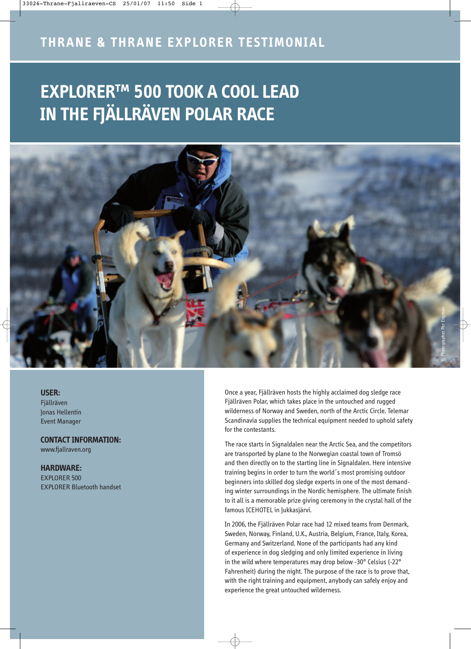# **EXPLORER™ 500 TOOK A COOL LEAD IN THE FJÄLLRÄVEN POLAR RACE**



#### **USER:**

Fjällräven Jonas Hellentin Event Manager

**CONTACT INFORMATION:**  www.fjallraven.org

#### **HARDWARE:**

EXPLORER 500 EXPLORER Bluetooth handset

Once a year, Fjällräven hosts the highly acclaimed dog sledge race Fjällräven Polar, which takes place in the untouched and rugged wilderness of Norway and Sweden, north of the Arctic Circle. Telemar Scandinavia supplies the technical equipment needed to uphold safety for the contestants.

The race starts in Signaldalen near the Arctic Sea, and the competitors are transported by plane to the Norwegian coastal town of Tromsö and then directly on to the starting line in Signaldalen. Here intensive training begins in order to turn the world´s most promising outdoor beginners into skilled dog sledge experts in one of the most demanding winter surroundings in the Nordic hemisphere. The ultimate finish to it all is a memorable prize giving ceremony in the crystal hall of the famous ICEHOTEL in Jukkasjärvi.

In 2006, the Fjällräven Polar race had 12 mixed teams from Denmark, Sweden, Norway, Finland, U.K., Austria, Belgium, France, Italy, Korea, Germany and Switzerland. None of the participants had any kind of experience in dog sledging and only limited experience in living in the wild where temperatures may drop below -30° Celsius (-22° Fahrenheit) during the night. The purpose of the race is to prove that, with the right training and equipment, anybody can safely enjoy and experience the great untouched wilderness.